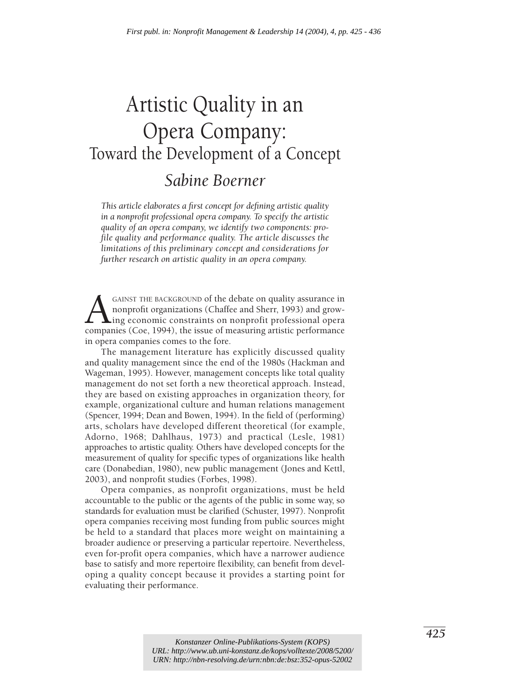# Artistic Quality in an Opera Company: Toward the Development of a Concept *Sabine Boerner*

*This article elaborates a first concept for defining artistic quality in a nonprofit professional opera company. To specify the artistic quality of an opera company, we identify two components: profile quality and performance quality. The article discusses the limitations of this preliminary concept and considerations for further research on artistic quality in an opera company.*

GAINST THE BACKGROUND of the debate on quality assurance in<br>nonprofit organizations (Chaffee and Sherr, 1993) and grow-<br>companies (Coe, 1994), the issue of measuring artistic performance nonprofit organizations (Chaffee and Sherr, 1993) and growing economic constraints on nonprofit professional opera companies (Coe, 1994), the issue of measuring artistic performance in opera companies comes to the fore.

The management literature has explicitly discussed quality and quality management since the end of the 1980s (Hackman and Wageman, 1995). However, management concepts like total quality management do not set forth a new theoretical approach. Instead, they are based on existing approaches in organization theory, for example, organizational culture and human relations management (Spencer, 1994; Dean and Bowen, 1994). In the field of (performing) arts, scholars have developed different theoretical (for example, Adorno, 1968; Dahlhaus, 1973) and practical (Lesle, 1981) approaches to artistic quality. Others have developed concepts for the measurement of quality for specific types of organizations like health care (Donabedian, 1980), new public management (Jones and Kettl, 2003), and nonprofit studies (Forbes, 1998).

Opera companies, as nonprofit organizations, must be held accountable to the public or the agents of the public in some way, so standards for evaluation must be clarified (Schuster, 1997). Nonprofit opera companies receiving most funding from public sources might be held to a standard that places more weight on maintaining a broader audience or preserving a particular repertoire. Nevertheless, even for-profit opera companies, which have a narrower audience base to satisfy and more repertoire flexibility, can benefit from developing a quality concept because it provides a starting point for evaluating their performance.

> *Konstanzer Online-Publikations-System (KOPS) URL:<http://www.ub.uni-konstanz.de/kops/volltexte/2008/5200/> URN:<http://nbn-resolving.de/urn:nbn:de:bsz:352-opus-52002>*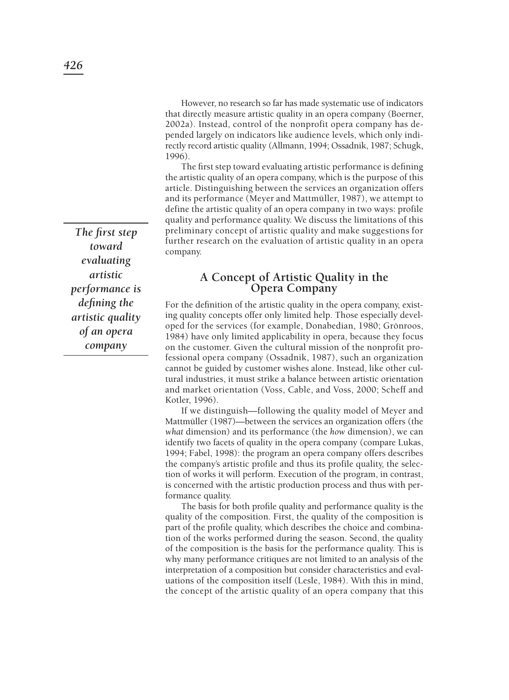However, no research so far has made systematic use of indicators that directly measure artistic quality in an opera company (Boerner, 2002a). Instead, control of the nonprofit opera company has depended largely on indicators like audience levels, which only indirectly record artistic quality (Allmann, 1994; Ossadnik, 1987; Schugk, 1996).

The first step toward evaluating artistic performance is defining the artistic quality of an opera company, which is the purpose of this article. Distinguishing between the services an organization offers and its performance (Meyer and Mattmüller, 1987), we attempt to define the artistic quality of an opera company in two ways: profile quality and performance quality. We discuss the limitations of this preliminary concept of artistic quality and make suggestions for further research on the evaluation of artistic quality in an opera company.

## **A Concept of Artistic Quality in the Opera Company**

For the definition of the artistic quality in the opera company, existing quality concepts offer only limited help. Those especially developed for the services (for example, Donabedian, 1980; Grönroos, 1984) have only limited applicability in opera, because they focus on the customer. Given the cultural mission of the nonprofit professional opera company (Ossadnik, 1987), such an organization cannot be guided by customer wishes alone. Instead, like other cultural industries, it must strike a balance between artistic orientation and market orientation (Voss, Cable, and Voss, 2000; Scheff and Kotler, 1996).

If we distinguish—following the quality model of Meyer and Mattmüller (1987)—between the services an organization offers (the *what* dimension) and its performance (the *how* dimension), we can identify two facets of quality in the opera company (compare Lukas, 1994; Fabel, 1998): the program an opera company offers describes the company's artistic profile and thus its profile quality, the selection of works it will perform. Execution of the program, in contrast, is concerned with the artistic production process and thus with performance quality.

The basis for both profile quality and performance quality is the quality of the composition. First, the quality of the composition is part of the profile quality, which describes the choice and combination of the works performed during the season. Second, the quality of the composition is the basis for the performance quality. This is why many performance critiques are not limited to an analysis of the interpretation of a composition but consider characteristics and evaluations of the composition itself (Lesle, 1984). With this in mind, the concept of the artistic quality of an opera company that this

*The first step toward evaluating artistic performance is defining the artistic quality of an opera company*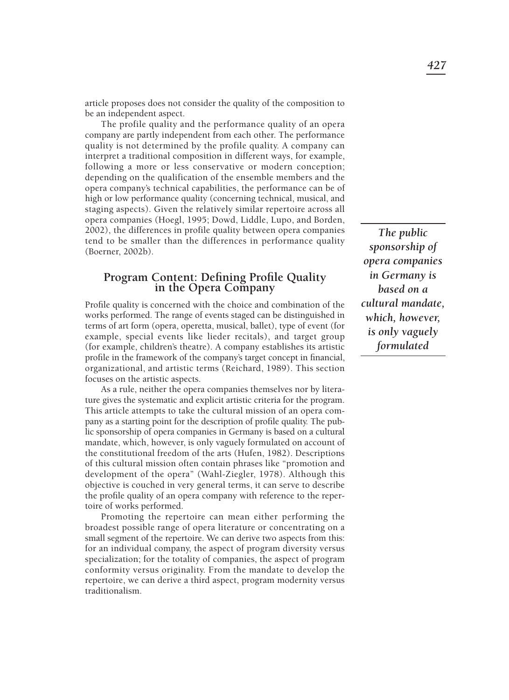article proposes does not consider the quality of the composition to be an independent aspect.

The profile quality and the performance quality of an opera company are partly independent from each other. The performance quality is not determined by the profile quality. A company can interpret a traditional composition in different ways, for example, following a more or less conservative or modern conception; depending on the qualification of the ensemble members and the opera company's technical capabilities, the performance can be of high or low performance quality (concerning technical, musical, and staging aspects). Given the relatively similar repertoire across all opera companies (Hoegl, 1995; Dowd, Liddle, Lupo, and Borden, 2002), the differences in profile quality between opera companies tend to be smaller than the differences in performance quality (Boerner, 2002b).

## **Program Content: Defining Profile Quality in the Opera Company**

Profile quality is concerned with the choice and combination of the works performed. The range of events staged can be distinguished in terms of art form (opera, operetta, musical, ballet), type of event (for example, special events like lieder recitals), and target group (for example, children's theatre). A company establishes its artistic profile in the framework of the company's target concept in financial, organizational, and artistic terms (Reichard, 1989). This section focuses on the artistic aspects.

As a rule, neither the opera companies themselves nor by literature gives the systematic and explicit artistic criteria for the program. This article attempts to take the cultural mission of an opera company as a starting point for the description of profile quality. The public sponsorship of opera companies in Germany is based on a cultural mandate, which, however, is only vaguely formulated on account of the constitutional freedom of the arts (Hufen, 1982). Descriptions of this cultural mission often contain phrases like "promotion and development of the opera" (Wahl-Ziegler, 1978). Although this objective is couched in very general terms, it can serve to describe the profile quality of an opera company with reference to the repertoire of works performed.

Promoting the repertoire can mean either performing the broadest possible range of opera literature or concentrating on a small segment of the repertoire. We can derive two aspects from this: for an individual company, the aspect of program diversity versus specialization; for the totality of companies, the aspect of program conformity versus originality. From the mandate to develop the repertoire, we can derive a third aspect, program modernity versus traditionalism.

*The public sponsorship of opera companies in Germany is based on a cultural mandate, which, however, is only vaguely formulated*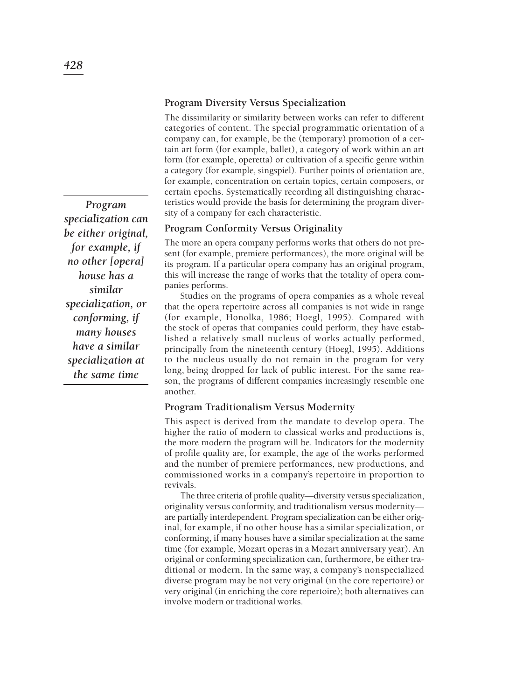### **Program Diversity Versus Specialization**

The dissimilarity or similarity between works can refer to different categories of content. The special programmatic orientation of a company can, for example, be the (temporary) promotion of a certain art form (for example, ballet), a category of work within an art form (for example, operetta) or cultivation of a specific genre within a category (for example, singspiel). Further points of orientation are, for example, concentration on certain topics, certain composers, or certain epochs. Systematically recording all distinguishing characteristics would provide the basis for determining the program diversity of a company for each characteristic.

### **Program Conformity Versus Originality**

The more an opera company performs works that others do not present (for example, premiere performances), the more original will be its program. If a particular opera company has an original program, this will increase the range of works that the totality of opera companies performs.

Studies on the programs of opera companies as a whole reveal that the opera repertoire across all companies is not wide in range (for example, Honolka, 1986; Hoegl, 1995). Compared with the stock of operas that companies could perform, they have established a relatively small nucleus of works actually performed, principally from the nineteenth century (Hoegl, 1995). Additions to the nucleus usually do not remain in the program for very long, being dropped for lack of public interest. For the same reason, the programs of different companies increasingly resemble one another.

#### **Program Traditionalism Versus Modernity**

This aspect is derived from the mandate to develop opera. The higher the ratio of modern to classical works and productions is, the more modern the program will be. Indicators for the modernity of profile quality are, for example, the age of the works performed and the number of premiere performances, new productions, and commissioned works in a company's repertoire in proportion to revivals.

The three criteria of profile quality—diversity versus specialization, originality versus conformity, and traditionalism versus modernity are partially interdependent. Program specialization can be either original, for example, if no other house has a similar specialization, or conforming, if many houses have a similar specialization at the same time (for example, Mozart operas in a Mozart anniversary year). An original or conforming specialization can, furthermore, be either traditional or modern. In the same way, a company's nonspecialized diverse program may be not very original (in the core repertoire) or very original (in enriching the core repertoire); both alternatives can involve modern or traditional works.

*Program specialization can be either original, for example, if no other [opera] house has a similar specialization, or conforming, if many houses have a similar specialization at the same time*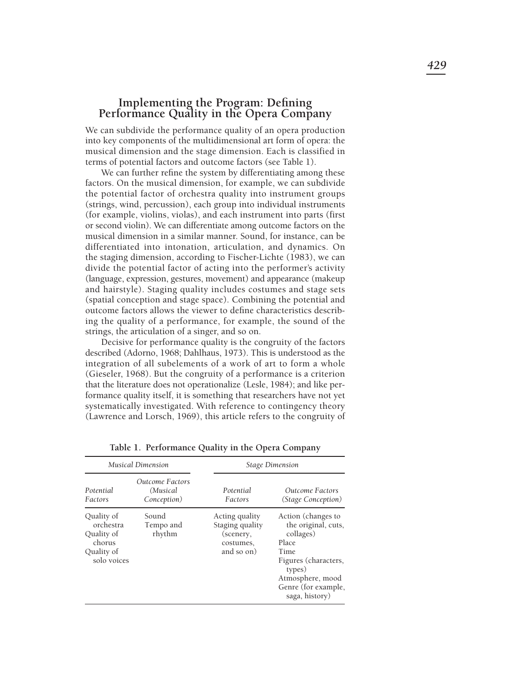## **Implementing the Program: Defining Performance Quality in the Opera Company**

We can subdivide the performance quality of an opera production into key components of the multidimensional art form of opera: the musical dimension and the stage dimension. Each is classified in terms of potential factors and outcome factors (see Table 1).

We can further refine the system by differentiating among these factors. On the musical dimension, for example, we can subdivide the potential factor of orchestra quality into instrument groups (strings, wind, percussion), each group into individual instruments (for example, violins, violas), and each instrument into parts (first or second violin). We can differentiate among outcome factors on the musical dimension in a similar manner. Sound, for instance, can be differentiated into intonation, articulation, and dynamics. On the staging dimension, according to Fischer-Lichte (1983), we can divide the potential factor of acting into the performer's activity (language, expression, gestures, movement) and appearance (makeup and hairstyle). Staging quality includes costumes and stage sets (spatial conception and stage space). Combining the potential and outcome factors allows the viewer to define characteristics describing the quality of a performance, for example, the sound of the strings, the articulation of a singer, and so on.

Decisive for performance quality is the congruity of the factors described (Adorno, 1968; Dahlhaus, 1973). This is understood as the integration of all subelements of a work of art to form a whole (Gieseler, 1968). But the congruity of a performance is a criterion that the literature does not operationalize (Lesle, 1984); and like performance quality itself, it is something that researchers have not yet systematically investigated. With reference to contingency theory (Lawrence and Lorsch, 1969), this article refers to the congruity of

| <b>Musical Dimension</b>                                                     |                                                    | <b>Stage Dimension</b>                                                    |                                                                                                                                                                                |
|------------------------------------------------------------------------------|----------------------------------------------------|---------------------------------------------------------------------------|--------------------------------------------------------------------------------------------------------------------------------------------------------------------------------|
| Potential<br>Factors                                                         | <b>Outcome Factors</b><br>(Musical)<br>Conception) | Potential<br><b>Factors</b>                                               | <b>Outcome Factors</b><br>(Stage Conception)                                                                                                                                   |
| Quality of<br>orchestra<br>Quality of<br>chorus<br>Quality of<br>solo voices | Sound<br>Tempo and<br>rhythm                       | Acting quality<br>Staging quality<br>(scenery,<br>costumes,<br>and so on) | Action (changes to<br>the original, cuts,<br>collages)<br>Place.<br><b>Time</b><br>Figures (characters,<br>types)<br>Atmosphere, mood<br>Genre (for example,<br>saga, history) |

**Table 1. Performance Quality in the Opera Company**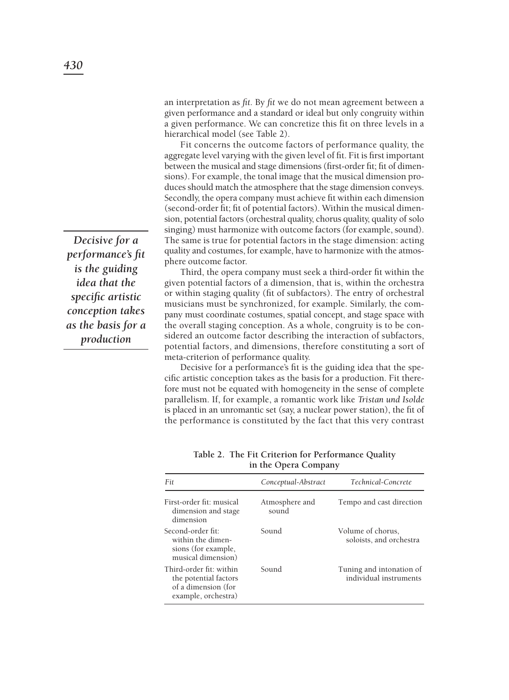an interpretation as *fit.* By *fit* we do not mean agreement between a given performance and a standard or ideal but only congruity within a given performance. We can concretize this fit on three levels in a hierarchical model (see Table 2).

Fit concerns the outcome factors of performance quality, the aggregate level varying with the given level of fit. Fit is first important between the musical and stage dimensions (first-order fit; fit of dimensions). For example, the tonal image that the musical dimension produces should match the atmosphere that the stage dimension conveys. Secondly, the opera company must achieve fit within each dimension (second-order fit; fit of potential factors). Within the musical dimension, potential factors (orchestral quality, chorus quality, quality of solo singing) must harmonize with outcome factors (for example, sound). The same is true for potential factors in the stage dimension: acting quality and costumes, for example, have to harmonize with the atmosphere outcome factor.

Third, the opera company must seek a third-order fit within the given potential factors of a dimension, that is, within the orchestra or within staging quality (fit of subfactors). The entry of orchestral musicians must be synchronized, for example. Similarly, the company must coordinate costumes, spatial concept, and stage space with the overall staging conception. As a whole, congruity is to be considered an outcome factor describing the interaction of subfactors, potential factors, and dimensions, therefore constituting a sort of meta-criterion of performance quality.

Decisive for a performance's fit is the guiding idea that the specific artistic conception takes as the basis for a production. Fit therefore must not be equated with homogeneity in the sense of complete parallelism. If, for example, a romantic work like *Tristan und Isolde* is placed in an unromantic set (say, a nuclear power station), the fit of the performance is constituted by the fact that this very contrast

| Fit                                                                                            | Conceptual-Abstract     | Technical-Concrete                                 |
|------------------------------------------------------------------------------------------------|-------------------------|----------------------------------------------------|
| First-order fit: musical<br>dimension and stage<br>dimension                                   | Atmosphere and<br>sound | Tempo and cast direction                           |
| Second-order fit:<br>within the dimen-<br>sions (for example,<br>musical dimension)            | Sound                   | Volume of chorus,<br>soloists, and orchestra       |
| Third-order fit: within<br>the potential factors<br>of a dimension (for<br>example, orchestra) | Sound                   | Tuning and intonation of<br>individual instruments |

**Table 2. The Fit Criterion for Performance Quality in the Opera Company**

*Decisive for a performance's fit is the guiding idea that the specific artistic conception takes as the basis for a production*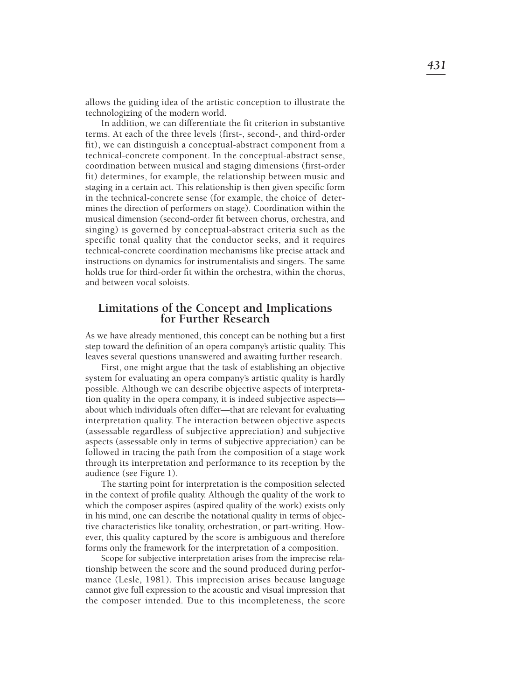allows the guiding idea of the artistic conception to illustrate the technologizing of the modern world.

In addition, we can differentiate the fit criterion in substantive terms. At each of the three levels (first-, second-, and third-order fit), we can distinguish a conceptual-abstract component from a technical-concrete component. In the conceptual-abstract sense, coordination between musical and staging dimensions (first-order fit) determines, for example, the relationship between music and staging in a certain act. This relationship is then given specific form in the technical-concrete sense (for example, the choice of determines the direction of performers on stage). Coordination within the musical dimension (second-order fit between chorus, orchestra, and singing) is governed by conceptual-abstract criteria such as the specific tonal quality that the conductor seeks, and it requires technical-concrete coordination mechanisms like precise attack and instructions on dynamics for instrumentalists and singers. The same holds true for third-order fit within the orchestra, within the chorus, and between vocal soloists.

# **Limitations of the Concept and Implications for Further Research**

As we have already mentioned, this concept can be nothing but a first step toward the definition of an opera company's artistic quality. This leaves several questions unanswered and awaiting further research.

First, one might argue that the task of establishing an objective system for evaluating an opera company's artistic quality is hardly possible. Although we can describe objective aspects of interpretation quality in the opera company, it is indeed subjective aspects about which individuals often differ—that are relevant for evaluating interpretation quality. The interaction between objective aspects (assessable regardless of subjective appreciation) and subjective aspects (assessable only in terms of subjective appreciation) can be followed in tracing the path from the composition of a stage work through its interpretation and performance to its reception by the audience (see Figure 1).

The starting point for interpretation is the composition selected in the context of profile quality. Although the quality of the work to which the composer aspires (aspired quality of the work) exists only in his mind, one can describe the notational quality in terms of objective characteristics like tonality, orchestration, or part-writing. However, this quality captured by the score is ambiguous and therefore forms only the framework for the interpretation of a composition.

Scope for subjective interpretation arises from the imprecise relationship between the score and the sound produced during performance (Lesle, 1981). This imprecision arises because language cannot give full expression to the acoustic and visual impression that the composer intended. Due to this incompleteness, the score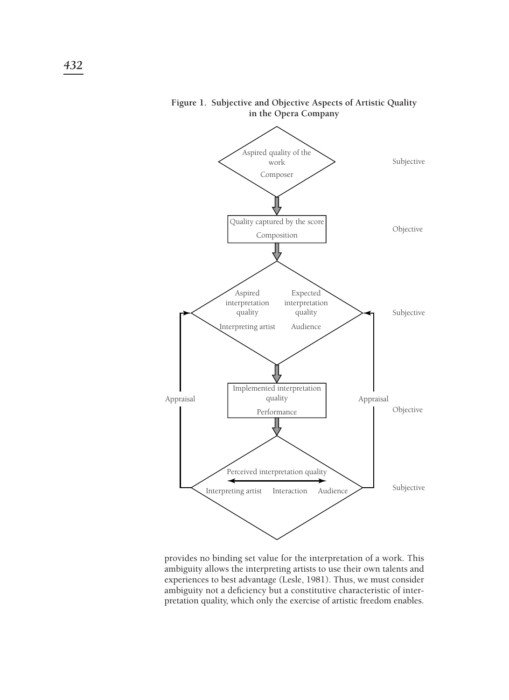

**Figure 1. Subjective and Objective Aspects of Artistic Quality in the Opera Company**

provides no binding set value for the interpretation of a work. This ambiguity allows the interpreting artists to use their own talents and experiences to best advantage (Lesle, 1981). Thus, we must consider ambiguity not a deficiency but a constitutive characteristic of interpretation quality, which only the exercise of artistic freedom enables.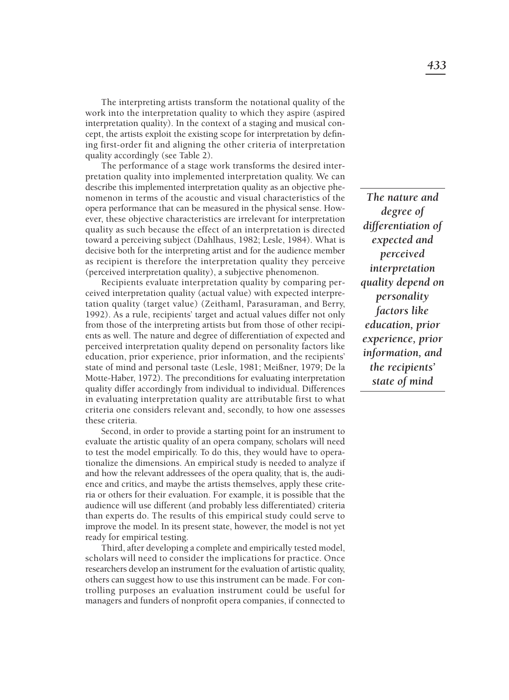The interpreting artists transform the notational quality of the work into the interpretation quality to which they aspire (aspired interpretation quality). In the context of a staging and musical concept, the artists exploit the existing scope for interpretation by defining first-order fit and aligning the other criteria of interpretation quality accordingly (see Table 2).

The performance of a stage work transforms the desired interpretation quality into implemented interpretation quality. We can describe this implemented interpretation quality as an objective phenomenon in terms of the acoustic and visual characteristics of the opera performance that can be measured in the physical sense. However, these objective characteristics are irrelevant for interpretation quality as such because the effect of an interpretation is directed toward a perceiving subject (Dahlhaus, 1982; Lesle, 1984). What is decisive both for the interpreting artist and for the audience member as recipient is therefore the interpretation quality they perceive (perceived interpretation quality), a subjective phenomenon.

Recipients evaluate interpretation quality by comparing perceived interpretation quality (actual value) with expected interpretation quality (target value) (Zeithaml, Parasuraman, and Berry, 1992). As a rule, recipients' target and actual values differ not only from those of the interpreting artists but from those of other recipients as well. The nature and degree of differentiation of expected and perceived interpretation quality depend on personality factors like education, prior experience, prior information, and the recipients' state of mind and personal taste (Lesle, 1981; Meißner, 1979; De la Motte-Haber, 1972). The preconditions for evaluating interpretation quality differ accordingly from individual to individual. Differences in evaluating interpretation quality are attributable first to what criteria one considers relevant and, secondly, to how one assesses these criteria.

Second, in order to provide a starting point for an instrument to evaluate the artistic quality of an opera company, scholars will need to test the model empirically. To do this, they would have to operationalize the dimensions. An empirical study is needed to analyze if and how the relevant addressees of the opera quality, that is, the audience and critics, and maybe the artists themselves, apply these criteria or others for their evaluation. For example, it is possible that the audience will use different (and probably less differentiated) criteria than experts do. The results of this empirical study could serve to improve the model. In its present state, however, the model is not yet ready for empirical testing.

Third, after developing a complete and empirically tested model, scholars will need to consider the implications for practice. Once researchers develop an instrument for the evaluation of artistic quality, others can suggest how to use this instrument can be made. For controlling purposes an evaluation instrument could be useful for managers and funders of nonprofit opera companies, if connected to

*The nature and degree of differentiation of expected and perceived interpretation quality depend on personality factors like education, prior experience, prior information, and the recipients' state of mind*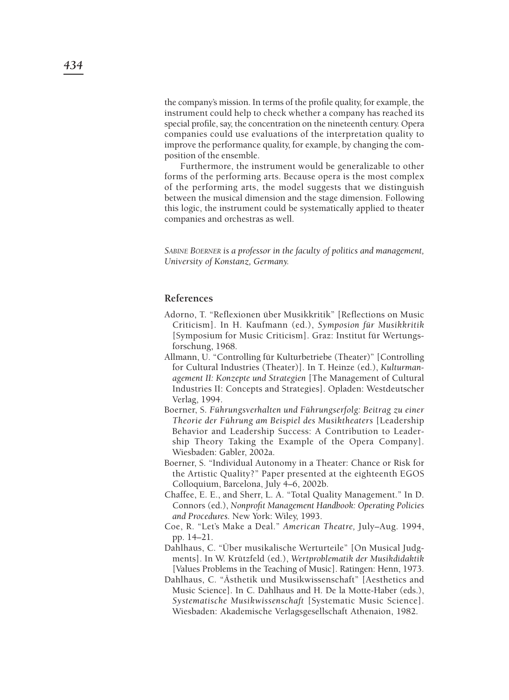the company's mission. In terms of the profile quality, for example, the instrument could help to check whether a company has reached its special profile, say, the concentration on the nineteenth century. Opera companies could use evaluations of the interpretation quality to improve the performance quality, for example, by changing the composition of the ensemble.

Furthermore, the instrument would be generalizable to other forms of the performing arts. Because opera is the most complex of the performing arts, the model suggests that we distinguish between the musical dimension and the stage dimension. Following this logic, the instrument could be systematically applied to theater companies and orchestras as well.

*SABINE BOERNER is a professor in the faculty of politics and management, University of Konstanz, Germany.*

#### **References**

- Adorno, T. "Reflexionen über Musikkritik" [Reflections on Music Criticism]. In H. Kaufmann (ed.), *Symposion für Musikkritik* [Symposium for Music Criticism]. Graz: Institut für Wertungsforschung, 1968.
- Allmann, U. "Controlling für Kulturbetriebe (Theater)" [Controlling for Cultural Industries (Theater)]. In T. Heinze (ed.), *Kulturmanagement II: Konzepte und Strategien* [The Management of Cultural Industries II: Concepts and Strategies]. Opladen: Westdeutscher Verlag, 1994.
- Boerner, S. *Führungsverhalten und Führungserfolg: Beitrag zu einer Theorie der Führung am Beispiel des Musiktheaters* [Leadership Behavior and Leadership Success: A Contribution to Leadership Theory Taking the Example of the Opera Company]. Wiesbaden: Gabler, 2002a.
- Boerner, S. "Individual Autonomy in a Theater: Chance or Risk for the Artistic Quality?" Paper presented at the eighteenth EGOS Colloquium, Barcelona, July 4–6, 2002b.
- Chaffee, E. E., and Sherr, L. A. "Total Quality Management." In D. Connors (ed.), *Nonprofit Management Handbook: Operating Policies and Procedures.* New York: Wiley, 1993.
- Coe, R. "Let's Make a Deal." *American Theatre,* July–Aug. 1994, pp. 14–21.
- Dahlhaus, C. "Über musikalische Werturteile" [On Musical Judgments]. In W. Krützfeld (ed.), *Wertproblematik der Musikdidaktik* [Values Problems in the Teaching of Music]. Ratingen: Henn, 1973.
- Dahlhaus, C. "Ästhetik und Musikwissenschaft" [Aesthetics and Music Science]. In C. Dahlhaus and H. De la Motte-Haber (eds.), *Systematische Musikwissenschaft* [Systematic Music Science]. Wiesbaden: Akademische Verlagsgesellschaft Athenaion, 1982.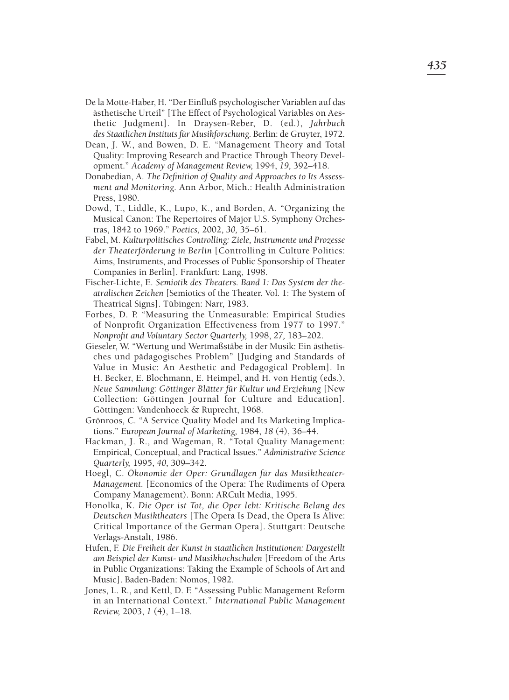- De la Motte-Haber, H. "Der Einfluß psychologischer Variablen auf das ästhetische Urteil" [The Effect of Psychological Variables on Aesthetic Judgment]. In Draysen-Reber, D. (ed.), *Jahrbuch des Staatlichen Instituts für Musikforschung.* Berlin: de Gruyter, 1972.
- Dean, J. W., and Bowen, D. E. "Management Theory and Total Quality: Improving Research and Practice Through Theory Development." *Academy of Management Review,* 1994, *19,* 392–418.
- Donabedian, A. *The Definition of Quality and Approaches to Its Assessment and Monitoring.* Ann Arbor, Mich.: Health Administration Press, 1980.
- Dowd, T., Liddle, K., Lupo, K., and Borden, A. "Organizing the Musical Canon: The Repertoires of Major U.S. Symphony Orchestras, 1842 to 1969." *Poetics,* 2002, *30,* 35–61.
- Fabel, M. *Kulturpolitisches Controlling: Ziele, Instrumente und Prozesse der Theaterförderung in Berlin* [Controlling in Culture Politics: Aims, Instruments, and Processes of Public Sponsorship of Theater Companies in Berlin]. Frankfurt: Lang, 1998.
- Fischer-Lichte, E. *Semiotik des Theaters. Band 1: Das System der theatralischen Zeichen* [Semiotics of the Theater. Vol. 1: The System of Theatrical Signs]. Tübingen: Narr, 1983.
- Forbes, D. P. "Measuring the Unmeasurable: Empirical Studies of Nonprofit Organization Effectiveness from 1977 to 1997." *Nonprofit and Voluntary Sector Quarterly,* 1998, *27,* 183–202.
- Gieseler, W. "Wertung und Wertmaßstäbe in der Musik: Ein ästhetisches und pädagogisches Problem" [Judging and Standards of Value in Music: An Aesthetic and Pedagogical Problem]. In H. Becker, E. Blochmann, E. Heimpel, and H. von Hentig (eds.), *Neue Sammlung: Göttinger Blätter für Kultur und Erziehung* [New Collection: Göttingen Journal for Culture and Education]. Göttingen: Vandenhoeck & Ruprecht, 1968.
- Grönroos, C. "A Service Quality Model and Its Marketing Implications." *European Journal of Marketing,* 1984, *18* (4), 36–44.
- Hackman, J. R., and Wageman, R. "Total Quality Management: Empirical, Conceptual, and Practical Issues." *Administrative Science Quarterly,* 1995, *40,* 309–342.
- Hoegl, C. *Ökonomie der Oper: Grundlagen für das Musiktheater-Management.* [Economics of the Opera: The Rudiments of Opera Company Management). Bonn: ARCult Media, 1995.
- Honolka, K. *Die Oper ist Tot, die Oper lebt: Kritische Belang des Deutschen Musiktheaters* [The Opera Is Dead, the Opera Is Alive: Critical Importance of the German Opera]. Stuttgart: Deutsche Verlags-Anstalt, 1986.
- Hufen, F. *Die Freiheit der Kunst in staatlichen Institutionen: Dargestellt am Beispiel der Kunst- und Musikhochschulen* [Freedom of the Arts in Public Organizations: Taking the Example of Schools of Art and Music]. Baden-Baden: Nomos, 1982.
- Jones, L. R., and Kettl, D. F. "Assessing Public Management Reform in an International Context." *International Public Management Review,* 2003, *1* (4), 1–18.